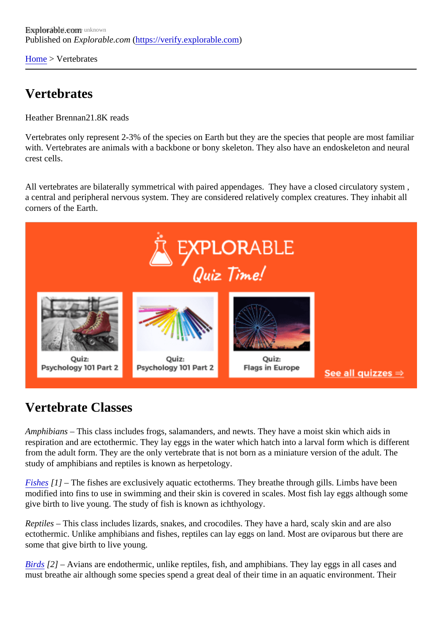[Home](https://verify.explorable.com/) > Vertebrates

## Vertebrates

Heather Brennan .8K reads

Vertebrates only represent 2-3% of the species on Earth but they are the species that people are most fan with. Vertebrates are animals with a backbone or bony skeleton. They also have an endoskeleton and neurally crest cells.

All vertebrates are bilaterally symmetrical with paired appendages. They have a closed circulatory system a central and peripheral nervous system. They are considered relatively complex creatures. They inhabit all corners of the Earth.

## Vertebrate Classes

Amphibians – This class includes frogs, salamanders, and newts. They have a moist skin which aids in respiration and are ectothermic. They lay eggs in the water which hatch into a larval form which is differen from the adult form. They are the only vertebrate that is not born as a miniature version of the adult. The study of amphibians and reptiles is known as herpetology.

[Fishes](http://fisheries.org/)<sup>[1]</sup> – The fishes are exclusively aquatic ectotherms. They breathe through gills. Limbs have been modified into fins to use in swimming and their skin is covered in scales. Most fish lay eggs although some give birth to live young. The study of fish is known as ichthyology.

Reptiles – This class includes lizards, snakes, and crocodiles. They have a hard, scaly skin and are also ectothermic. Unlike amphibians and fishes, reptiles can lay eggs on land. Most are oviparous but there are some that give birth to live young.

[Birds](http://www.ornithology.com/) [2] – Avians are endothermic, unlike reptiles, fish, and amphibians. They lay eggs in all cases and must breathe air although some species spend a great deal of their time in an aquatic environment. Their